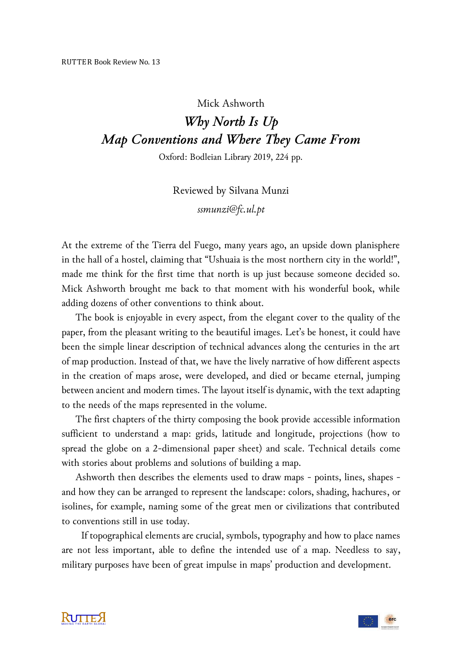## Mick Ashworth *Why North Is Up Map Conventions and Where They Came From*

Oxford: Bodleian Library 2019, 224 pp.

Reviewed by Silvana Munzi *ssmunzi@fc.ul.pt*

At the extreme of the Tierra del Fuego, many years ago, an upside down planisphere in the hall of a hostel, claiming that "Ushuaia is the most northern city in the world!", made me think for the first time that north is up just because someone decided so. Mick Ashworth brought me back to that moment with his wonderful book, while adding dozens of other conventions to think about.

The book is enjoyable in every aspect, from the elegant cover to the quality of the paper, from the pleasant writing to the beautiful images. Let's be honest, it could have been the simple linear description of technical advances along the centuries in the art of map production. Instead of that, we have the lively narrative of how different aspects in the creation of maps arose, were developed, and died or became eternal, jumping between ancient and modern times. The layout itself is dynamic, with the text adapting to the needs of the maps represented in the volume.

The first chapters of the thirty composing the book provide accessible information sufficient to understand a map: grids, latitude and longitude, projections (how to spread the globe on a 2-dimensional paper sheet) and scale. Technical details come with stories about problems and solutions of building a map.

Ashworth then describes the elements used to draw maps - points, lines, shapes and how they can be arranged to represent the landscape: colors, shading, hachures, or isolines, for example, naming some of the great men or civilizations that contributed to conventions still in use today.

 If topographical elements are crucial, symbols, typography and how to place names are not less important, able to define the intended use of a map. Needless to say, military purposes have been of great impulse in maps' production and development.